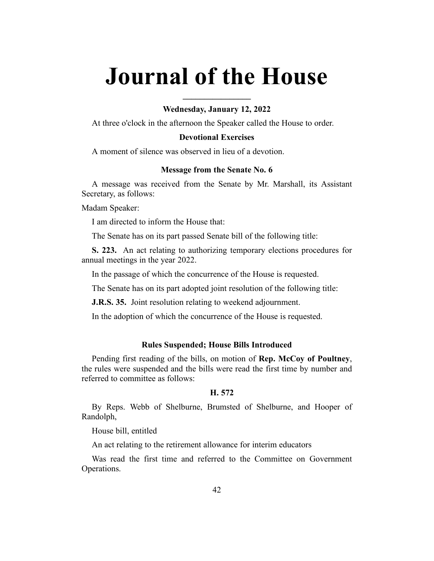# **Journal of the House**

## **Wednesday, January 12, 2022**

**\_\_\_\_\_\_\_\_\_\_\_\_\_\_\_\_**

At three o'clock in the afternoon the Speaker called the House to order.

## **Devotional Exercises**

A moment of silence was observed in lieu of a devotion.

#### **Message from the Senate No. 6**

A message was received from the Senate by Mr. Marshall, its Assistant Secretary, as follows:

Madam Speaker:

I am directed to inform the House that:

The Senate has on its part passed Senate bill of the following title:

**S. 223.** An act relating to authorizing temporary elections procedures for annual meetings in the year 2022.

In the passage of which the concurrence of the House is requested.

The Senate has on its part adopted joint resolution of the following title:

**J.R.S. 35.** Joint resolution relating to weekend adjournment.

In the adoption of which the concurrence of the House is requested.

## **Rules Suspended; House Bills Introduced**

Pending first reading of the bills, on motion of **Rep. McCoy of Poultney**, the rules were suspended and the bills were read the first time by number and referred to committee as follows:

## **H. 572**

By Reps. Webb of Shelburne, Brumsted of Shelburne, and Hooper of Randolph,

House bill, entitled

An act relating to the retirement allowance for interim educators

Was read the first time and referred to the Committee on Government Operations.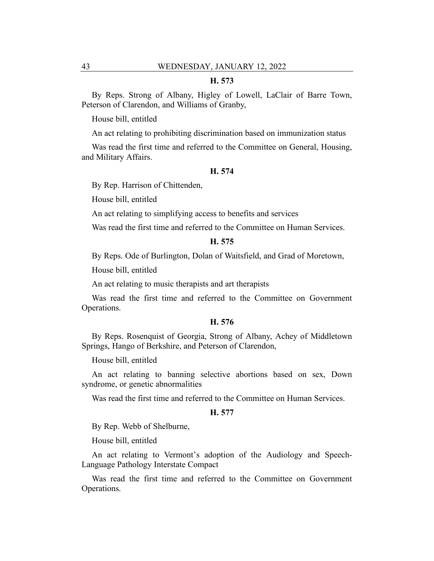## **H. 573**

By Reps. Strong of Albany, Higley of Lowell, LaClair of Barre Town, Peterson of Clarendon, and Williams of Granby,

House bill, entitled

An act relating to prohibiting discrimination based on immunization status

Was read the first time and referred to the Committee on General, Housing, and Military Affairs.

#### **H. 574**

By Rep. Harrison of Chittenden,

House bill, entitled

An act relating to simplifying access to benefits and services

Was read the first time and referred to the Committee on Human Services.

#### **H. 575**

By Reps. Ode of Burlington, Dolan of Waitsfield, and Grad of Moretown,

House bill, entitled

An act relating to music therapists and art therapists

Was read the first time and referred to the Committee on Government Operations.

#### **H. 576**

By Reps. Rosenquist of Georgia, Strong of Albany, Achey of Middletown Springs, Hango of Berkshire, and Peterson of Clarendon,

House bill, entitled

An act relating to banning selective abortions based on sex, Down syndrome, or genetic abnormalities

Was read the first time and referred to the Committee on Human Services.

#### **H. 577**

By Rep. Webb of Shelburne,

House bill, entitled

An act relating to Vermont's adoption of the Audiology and Speech-Language Pathology Interstate Compact

Was read the first time and referred to the Committee on Government Operations.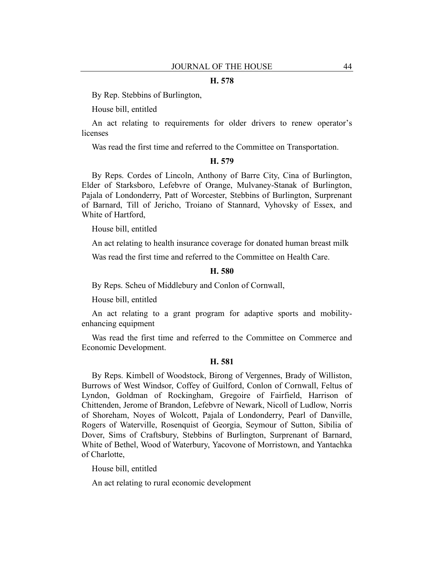#### **H. 578**

By Rep. Stebbins of Burlington,

House bill, entitled

An act relating to requirements for older drivers to renew operator's licenses

Was read the first time and referred to the Committee on Transportation.

#### **H. 579**

By Reps. Cordes of Lincoln, Anthony of Barre City, Cina of Burlington, Elder of Starksboro, Lefebvre of Orange, Mulvaney-Stanak of Burlington, Pajala of Londonderry, Patt of Worcester, Stebbins of Burlington, Surprenant of Barnard, Till of Jericho, Troiano of Stannard, Vyhovsky of Essex, and White of Hartford,

House bill, entitled

An act relating to health insurance coverage for donated human breast milk

Was read the first time and referred to the Committee on Health Care.

#### **H. 580**

By Reps. Scheu of Middlebury and Conlon of Cornwall,

House bill, entitled

An act relating to a grant program for adaptive sports and mobilityenhancing equipment

Was read the first time and referred to the Committee on Commerce and Economic Development.

## **H. 581**

By Reps. Kimbell of Woodstock, Birong of Vergennes, Brady of Williston, Burrows of West Windsor, Coffey of Guilford, Conlon of Cornwall, Feltus of Lyndon, Goldman of Rockingham, Gregoire of Fairfield, Harrison of Chittenden, Jerome of Brandon, Lefebvre of Newark, Nicoll of Ludlow, Norris of Shoreham, Noyes of Wolcott, Pajala of Londonderry, Pearl of Danville, Rogers of Waterville, Rosenquist of Georgia, Seymour of Sutton, Sibilia of Dover, Sims of Craftsbury, Stebbins of Burlington, Surprenant of Barnard, White of Bethel, Wood of Waterbury, Yacovone of Morristown, and Yantachka of Charlotte,

House bill, entitled

An act relating to rural economic development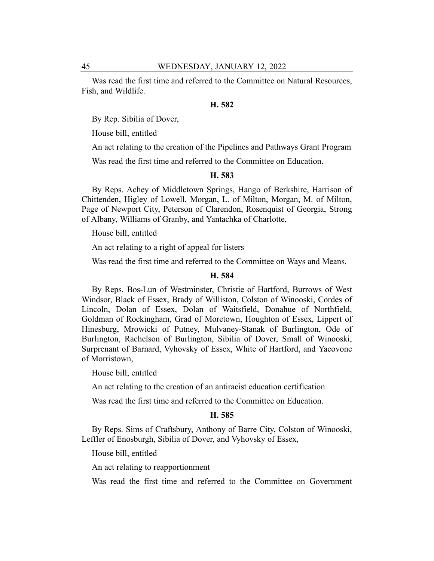Was read the first time and referred to the Committee on Natural Resources, Fish, and Wildlife.

## **H. 582**

By Rep. Sibilia of Dover,

House bill, entitled

An act relating to the creation of the Pipelines and Pathways Grant Program

Was read the first time and referred to the Committee on Education.

## **H. 583**

By Reps. Achey of Middletown Springs, Hango of Berkshire, Harrison of Chittenden, Higley of Lowell, Morgan, L. of Milton, Morgan, M. of Milton, Page of Newport City, Peterson of Clarendon, Rosenquist of Georgia, Strong of Albany, Williams of Granby, and Yantachka of Charlotte,

House bill, entitled

An act relating to a right of appeal for listers

Was read the first time and referred to the Committee on Ways and Means.

#### **H. 584**

By Reps. Bos-Lun of Westminster, Christie of Hartford, Burrows of West Windsor, Black of Essex, Brady of Williston, Colston of Winooski, Cordes of Lincoln, Dolan of Essex, Dolan of Waitsfield, Donahue of Northfield, Goldman of Rockingham, Grad of Moretown, Houghton of Essex, Lippert of Hinesburg, Mrowicki of Putney, Mulvaney-Stanak of Burlington, Ode of Burlington, Rachelson of Burlington, Sibilia of Dover, Small of Winooski, Surprenant of Barnard, Vyhovsky of Essex, White of Hartford, and Yacovone of Morristown,

House bill, entitled

An act relating to the creation of an antiracist education certification

Was read the first time and referred to the Committee on Education.

#### **H. 585**

By Reps. Sims of Craftsbury, Anthony of Barre City, Colston of Winooski, Leffler of Enosburgh, Sibilia of Dover, and Vyhovsky of Essex,

House bill, entitled

An act relating to reapportionment

Was read the first time and referred to the Committee on Government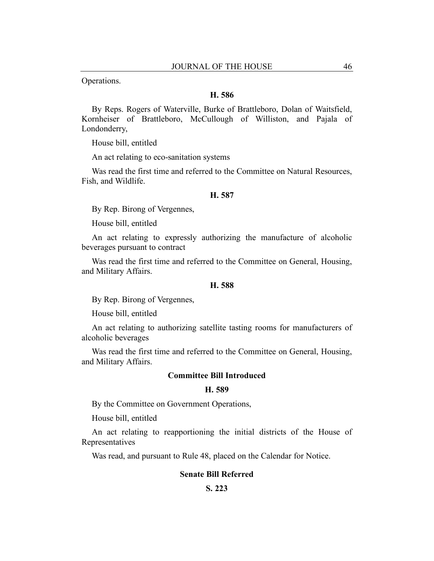Operations.

## **H. 586**

By Reps. Rogers of Waterville, Burke of Brattleboro, Dolan of Waitsfield, Kornheiser of Brattleboro, McCullough of Williston, and Pajala of Londonderry,

House bill, entitled

An act relating to eco-sanitation systems

Was read the first time and referred to the Committee on Natural Resources, Fish, and Wildlife.

#### **H. 587**

By Rep. Birong of Vergennes,

House bill, entitled

An act relating to expressly authorizing the manufacture of alcoholic beverages pursuant to contract

Was read the first time and referred to the Committee on General, Housing, and Military Affairs.

## **H. 588**

By Rep. Birong of Vergennes,

House bill, entitled

An act relating to authorizing satellite tasting rooms for manufacturers of alcoholic beverages

Was read the first time and referred to the Committee on General, Housing, and Military Affairs.

## **Committee Bill Introduced**

# **H. 589**

By the Committee on Government Operations,

House bill, entitled

An act relating to reapportioning the initial districts of the House of Representatives

Was read, and pursuant to Rule 48, placed on the Calendar for Notice.

#### **Senate Bill Referred**

## **S. 223**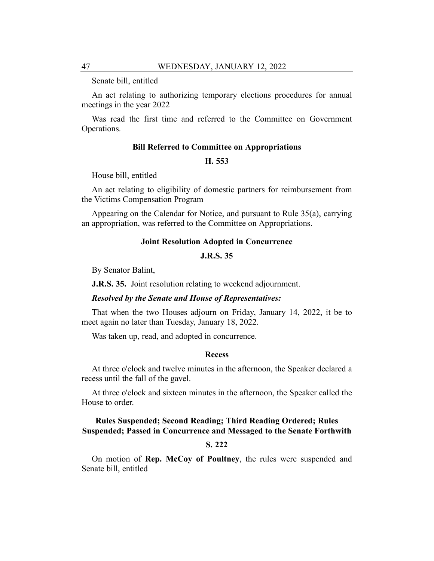Senate bill, entitled

An act relating to authorizing temporary elections procedures for annual meetings in the year 2022

Was read the first time and referred to the Committee on Government Operations.

## **Bill Referred to Committee on Appropriations**

## **H. 553**

House bill, entitled

An act relating to eligibility of domestic partners for reimbursement from the Victims Compensation Program

Appearing on the Calendar for Notice, and pursuant to Rule 35(a), carrying an appropriation, was referred to the Committee on Appropriations.

## **Joint Resolution Adopted in Concurrence**

#### **J.R.S. 35**

By Senator Balint,

**J.R.S. 35.** Joint resolution relating to weekend adjournment.

#### *Resolved by the Senate and House of Representatives:*

That when the two Houses adjourn on Friday, January 14, 2022, it be to meet again no later than Tuesday, January 18, 2022.

Was taken up, read, and adopted in concurrence.

## **Recess**

At three o'clock and twelve minutes in the afternoon, the Speaker declared a recess until the fall of the gavel.

At three o'clock and sixteen minutes in the afternoon, the Speaker called the House to order.

# **Rules Suspended; Second Reading; Third Reading Ordered; Rules Suspended; Passed in Concurrence and Messaged to the Senate Forthwith**

## **S. 222**

On motion of **Rep. McCoy of Poultney**, the rules were suspended and Senate bill, entitled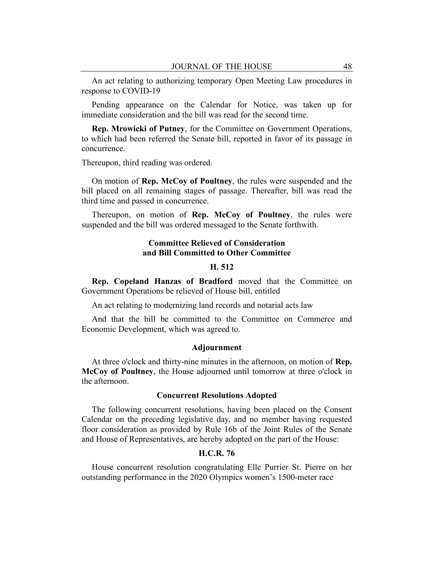An act relating to authorizing temporary Open Meeting Law procedures in response to COVID-19

Pending appearance on the Calendar for Notice, was taken up for immediate consideration and the bill was read for the second time.

**Rep. Mrowicki of Putney**, for the Committee on Government Operations, to which had been referred the Senate bill, reported in favor of its passage in concurrence.

Thereupon, third reading was ordered.

On motion of **Rep. McCoy of Poultney**, the rules were suspended and the bill placed on all remaining stages of passage. Thereafter, bill was read the third time and passed in concurrence.

Thereupon, on motion of **Rep. McCoy of Poultney**, the rules were suspended and the bill was ordered messaged to the Senate forthwith.

## **Committee Relieved of Consideration and Bill Committed to Other Committee**

## **H. 512**

**Rep. Copeland Hanzas of Bradford** moved that the Committee on Government Operations be relieved of House bill, entitled

An act relating to modernizing land records and notarial acts law

And that the bill be committed to the Committee on Commerce and Economic Development, which was agreed to.

#### **Adjournment**

At three o'clock and thirty-nine minutes in the afternoon, on motion of **Rep. McCoy of Poultney**, the House adjourned until tomorrow at three o'clock in the afternoon.

## **Concurrent Resolutions Adopted**

The following concurrent resolutions, having been placed on the Consent Calendar on the preceding legislative day, and no member having requested floor consideration as provided by Rule 16b of the Joint Rules of the Senate and House of Representatives, are hereby adopted on the part of the House:

## **H.C.R. 76**

House concurrent resolution congratulating Elle Purrier St. Pierre on her outstanding performance in the 2020 Olympics women's 1500-meter race